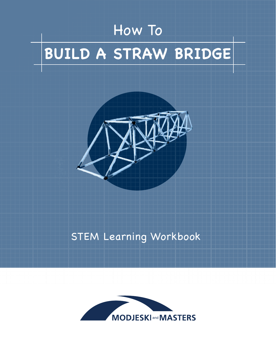# How To **BUILD A STRAW BRIDGE**



# STEM Learning Workbook

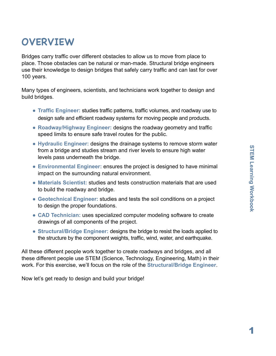1

# **OVERVIEW**

Bridges carry traffic over different obstacles to allow us to move from place to place. Those obstacles can be natural or man-made. Structural bridge engineers use their knowledge to design bridges that safely carry traffic and can last for over 100 years.

Many types of engineers, scientists, and technicians work together to design and build bridges.

- **Traffic Engineer:** studies traffic patterns, traffic volumes, and roadway use to design safe and efficient roadway systems for moving people and products.
- **Roadway/Highway Engineer:** designs the roadway geometry and traffic speed limits to ensure safe travel routes for the public.
- **Hydraulic Engineer:** designs the drainage systems to remove storm water from a bridge and studies stream and river levels to ensure high water levels pass underneath the bridge.
- **Environmental Engineer:** ensures the project is designed to have minimal impact on the surrounding natural environment.
- **Materials Scientist:** studies and tests construction materials that are used to build the roadway and bridge.
- **Geotechnical Engineer:** studies and tests the soil conditions on a project to design the proper foundations.
- **CAD Technician:** uses specialized computer modeling software to create drawings of all components of the project.
- **Structural/Bridge Engineer:** designs the bridge to resist the loads applied to the structure by the component weights, traffic, wind, water, and earthquake.

All these different people work together to create roadways and bridges, and all these different people use STEM (Science, Technology, Engineering, Math) in their work. For this exercise, we'll focus on the role of the **Structural/Bridge Engineer**.

Now let's get ready to design and build your bridge!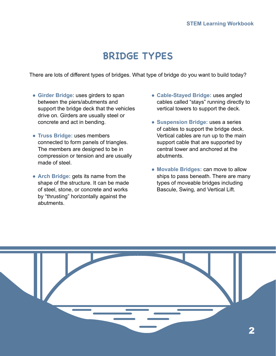## **BRIDGE TYPES**

There are lots of different types of bridges. What type of bridge do you want to build today?

- **Girder Bridge**: uses girders to span between the piers/abutments and support the bridge deck that the vehicles drive on. Girders are usually steel or concrete and act in bending.
- **Truss Bridge:** uses members connected to form panels of triangles. The members are designed to be in compression or tension and are usually made of steel.
- **Arch Bridge:** gets its name from the shape of the structure. It can be made of steel, stone, or concrete and works by "thrusting" horizontally against the abutments.
- **Cable-Stayed Bridge:** uses angled cables called "stays" running directly to vertical towers to support the deck.
- **Suspension Bridge:** uses a series of cables to support the bridge deck. Vertical cables are run up to the main support cable that are supported by central tower and anchored at the abutments.
- **Movable Bridges:** can move to allow ships to pass beneath. There are many types of moveable bridges including Bascule, Swing, and Vertical Lift.

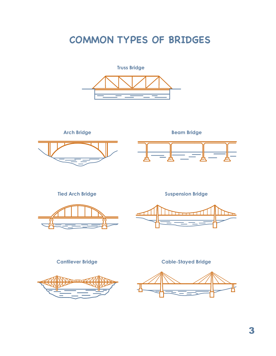# **COMMON TYPES OF BRIDGES**



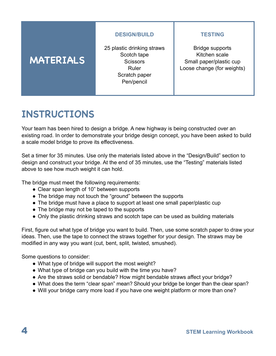#### **DESIGN/BUILD**

### **MATERIALS**

25 plastic drinking straws Scotch tape **Scissors** Ruler Scratch paper Pen/pencil

#### **TESTING**

Bridge supports Kitchen scale Small paper/plastic cup Loose change (for weights)

### **INSTRUCTIONS**

Your team has been hired to design a bridge. A new highway is being constructed over an existing road. In order to demonstrate your bridge design concept, you have been asked to build a scale model bridge to prove its effectiveness.

Set a timer for 35 minutes. Use only the materials listed above in the "Design/Build" section to design and construct your bridge. At the end of 35 minutes, use the "Testing" materials listed above to see how much weight it can hold.

The bridge must meet the following requirements:

- Clear span length of 10" between supports
- The bridge may not touch the "ground" between the supports
- The bridge must have a place to support at least one small paper/plastic cup
- The bridge may not be taped to the supports
- Only the plastic drinking straws and scotch tape can be used as building materials

First, figure out what type of bridge you want to build. Then, use some scratch paper to draw your ideas. Then, use the tape to connect the straws together for your design. The straws may be modified in any way you want (cut, bent, split, twisted, smushed).

Some questions to consider:

- What type of bridge will support the most weight?
- What type of bridge can you build with the time you have?
- Are the straws solid or bendable? How might bendable straws affect your bridge?
- What does the term "clear span" mean? Should your bridge be longer than the clear span?
- Will your bridge carry more load if you have one weight platform or more than one?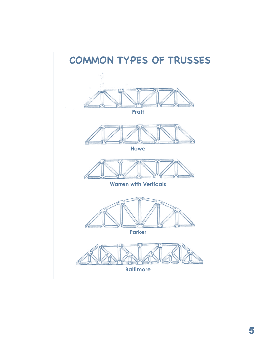# **COMMON TYPES OF TRUSSES**



**Parker**